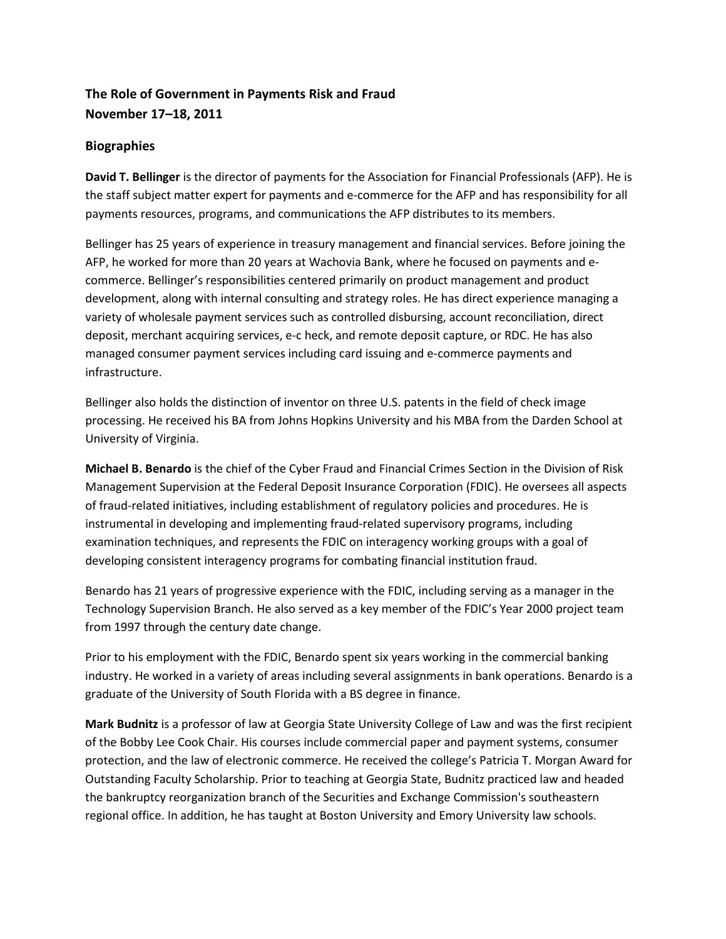## **The Role of Government in Payments Risk and Fraud November 17–18, 2011**

## **Biographies**

**David T. Bellinger** is the director of payments for the Association for Financial Professionals (AFP). He is the staff subject matter expert for payments and e-commerce for the AFP and has responsibility for all payments resources, programs, and communications the AFP distributes to its members.

Bellinger has 25 years of experience in treasury management and financial services. Before joining the AFP, he worked for more than 20 years at Wachovia Bank, where he focused on payments and ecommerce. Bellinger's responsibilities centered primarily on product management and product development, along with internal consulting and strategy roles. He has direct experience managing a variety of wholesale payment services such as controlled disbursing, account reconciliation, direct deposit, merchant acquiring services, e-c heck, and remote deposit capture, or RDC. He has also managed consumer payment services including card issuing and e-commerce payments and infrastructure.

Bellinger also holds the distinction of inventor on three U.S. patents in the field of check image processing. He received his BA from Johns Hopkins University and his MBA from the Darden School at University of Virginia.

**Michael B. Benardo** is the chief of the Cyber Fraud and Financial Crimes Section in the Division of Risk Management Supervision at the Federal Deposit Insurance Corporation (FDIC). He oversees all aspects of fraud-related initiatives, including establishment of regulatory policies and procedures. He is instrumental in developing and implementing fraud-related supervisory programs, including examination techniques, and represents the FDIC on interagency working groups with a goal of developing consistent interagency programs for combating financial institution fraud.

Benardo has 21 years of progressive experience with the FDIC, including serving as a manager in the Technology Supervision Branch. He also served as a key member of the FDIC's Year 2000 project team from 1997 through the century date change.

Prior to his employment with the FDIC, Benardo spent six years working in the commercial banking industry. He worked in a variety of areas including several assignments in bank operations. Benardo is a graduate of the University of South Florida with a BS degree in finance.

**Mark Budnitz** is a professor of law at Georgia State University College of Law and was the first recipient of the Bobby Lee Cook Chair. His courses include commercial paper and payment systems, consumer protection, and the law of electronic commerce. He received the college's Patricia T. Morgan Award for Outstanding Faculty Scholarship. Prior to teaching at Georgia State, Budnitz practiced law and headed the bankruptcy reorganization branch of the Securities and Exchange Commission's southeastern regional office. In addition, he has taught at Boston University and Emory University law schools.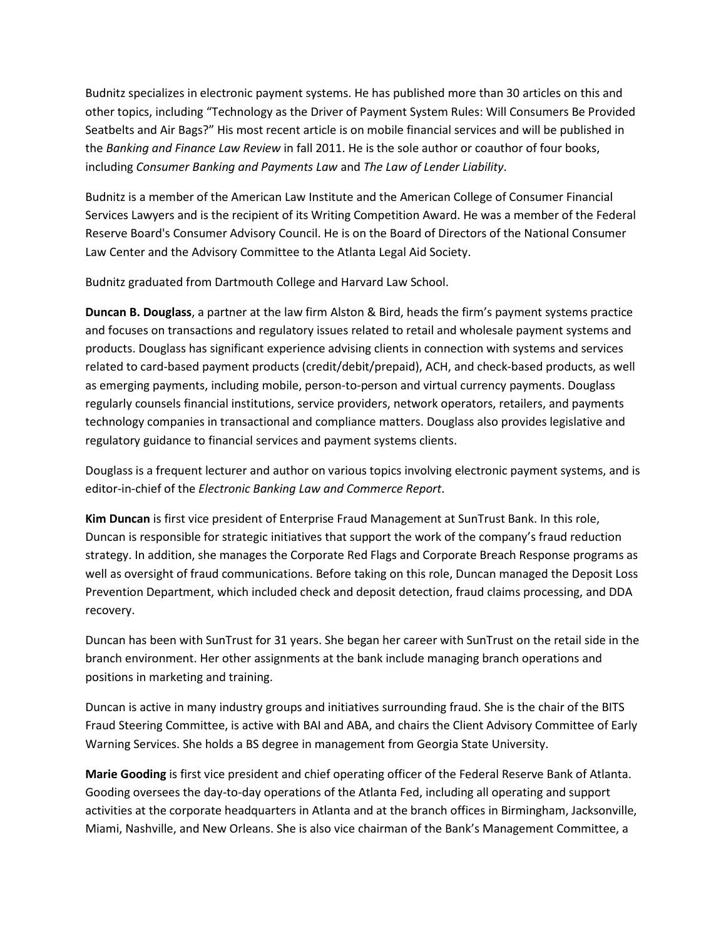Budnitz specializes in electronic payment systems. He has published more than 30 articles on this and other topics, including "Technology as the Driver of Payment System Rules: Will Consumers Be Provided Seatbelts and Air Bags?" His most recent article is on mobile financial services and will be published in the *Banking and Finance Law Review* in fall 2011. He is the sole author or coauthor of four books, including *Consumer Banking and Payments Law* and *The Law of Lender Liability*.

Budnitz is a member of the American Law Institute and the American College of Consumer Financial Services Lawyers and is the recipient of its Writing Competition Award. He was a member of the Federal Reserve Board's Consumer Advisory Council. He is on the Board of Directors of the National Consumer Law Center and the Advisory Committee to the Atlanta Legal Aid Society.

Budnitz graduated from Dartmouth College and Harvard Law School.

**Duncan B. Douglass**, a partner at the law firm Alston & Bird, heads the firm's payment systems practice and focuses on transactions and regulatory issues related to retail and wholesale payment systems and products. Douglass has significant experience advising clients in connection with systems and services related to card-based payment products (credit/debit/prepaid), ACH, and check-based products, as well as emerging payments, including mobile, person-to-person and virtual currency payments. Douglass regularly counsels financial institutions, service providers, network operators, retailers, and payments technology companies in transactional and compliance matters. Douglass also provides legislative and regulatory guidance to financial services and payment systems clients.

Douglass is a frequent lecturer and author on various topics involving electronic payment systems, and is editor-in-chief of the *Electronic Banking Law and Commerce Report*.

**Kim Duncan** is first vice president of Enterprise Fraud Management at SunTrust Bank. In this role, Duncan is responsible for strategic initiatives that support the work of the company's fraud reduction strategy. In addition, she manages the Corporate Red Flags and Corporate Breach Response programs as well as oversight of fraud communications. Before taking on this role, Duncan managed the Deposit Loss Prevention Department, which included check and deposit detection, fraud claims processing, and DDA recovery.

Duncan has been with SunTrust for 31 years. She began her career with SunTrust on the retail side in the branch environment. Her other assignments at the bank include managing branch operations and positions in marketing and training.

Duncan is active in many industry groups and initiatives surrounding fraud. She is the chair of the BITS Fraud Steering Committee, is active with BAI and ABA, and chairs the Client Advisory Committee of Early Warning Services. She holds a BS degree in management from Georgia State University.

**Marie Gooding** is first vice president and chief operating officer of the Federal Reserve Bank of Atlanta. Gooding oversees the day-to-day operations of the Atlanta Fed, including all operating and support activities at the corporate headquarters in Atlanta and at the branch offices in Birmingham, Jacksonville, Miami, Nashville, and New Orleans. She is also vice chairman of the Bank's Management Committee, a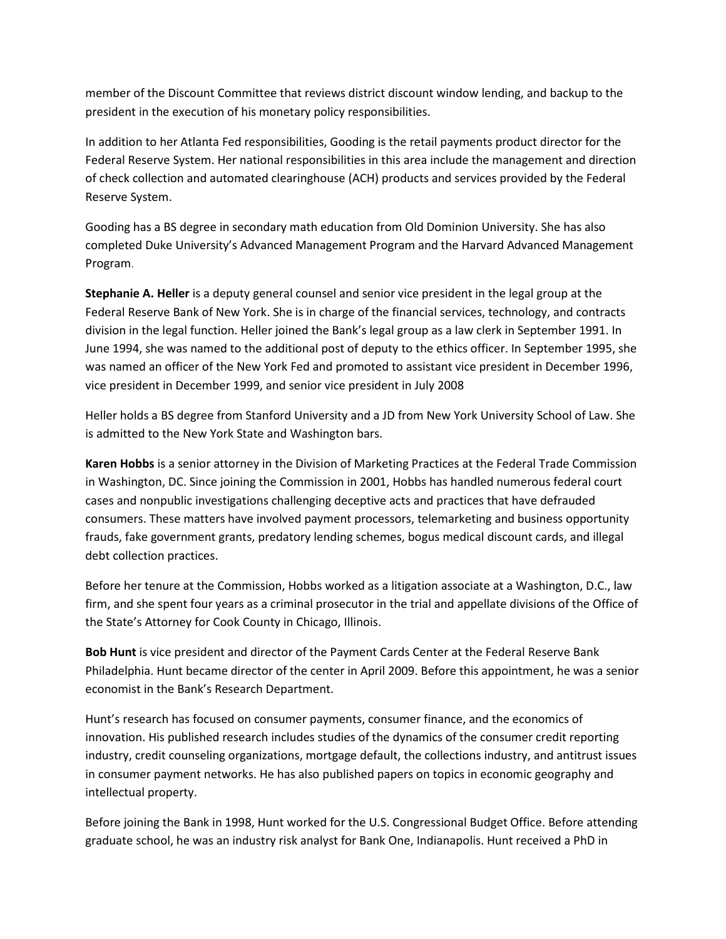member of the Discount Committee that reviews district discount window lending, and backup to the president in the execution of his monetary policy responsibilities.

In addition to her Atlanta Fed responsibilities, Gooding is the retail payments product director for the Federal Reserve System. Her national responsibilities in this area include the management and direction of check collection and automated clearinghouse (ACH) products and services provided by the Federal Reserve System.

Gooding has a BS degree in secondary math education from Old Dominion University. She has also completed Duke University's Advanced Management Program and the Harvard Advanced Management Program.

**Stephanie A. Heller** is a deputy general counsel and senior vice president in the legal group at the Federal Reserve Bank of New York. She is in charge of the financial services, technology, and contracts division in the legal function. Heller joined the Bank's legal group as a law clerk in September 1991. In June 1994, she was named to the additional post of deputy to the ethics officer. In September 1995, she was named an officer of the New York Fed and promoted to assistant vice president in December 1996, vice president in December 1999, and senior vice president in July 2008

Heller holds a BS degree from Stanford University and a JD from New York University School of Law. She is admitted to the New York State and Washington bars.

**Karen Hobbs** is a senior attorney in the Division of Marketing Practices at the Federal Trade Commission in Washington, DC. Since joining the Commission in 2001, Hobbs has handled numerous federal court cases and nonpublic investigations challenging deceptive acts and practices that have defrauded consumers. These matters have involved payment processors, telemarketing and business opportunity frauds, fake government grants, predatory lending schemes, bogus medical discount cards, and illegal debt collection practices.

Before her tenure at the Commission, Hobbs worked as a litigation associate at a Washington, D.C., law firm, and she spent four years as a criminal prosecutor in the trial and appellate divisions of the Office of the State's Attorney for Cook County in Chicago, Illinois.

**Bob Hunt** is vice president and director of the Payment Cards Center at the Federal Reserve Bank Philadelphia. Hunt became director of the center in April 2009. Before this appointment, he was a senior economist in the Bank's Research Department.

Hunt's research has focused on consumer payments, consumer finance, and the economics of innovation. His published research includes studies of the dynamics of the consumer credit reporting industry, credit counseling organizations, mortgage default, the collections industry, and antitrust issues in consumer payment networks. He has also published papers on topics in economic geography and intellectual property.

Before joining the Bank in 1998, Hunt worked for the U.S. Congressional Budget Office. Before attending graduate school, he was an industry risk analyst for Bank One, Indianapolis. Hunt received a PhD in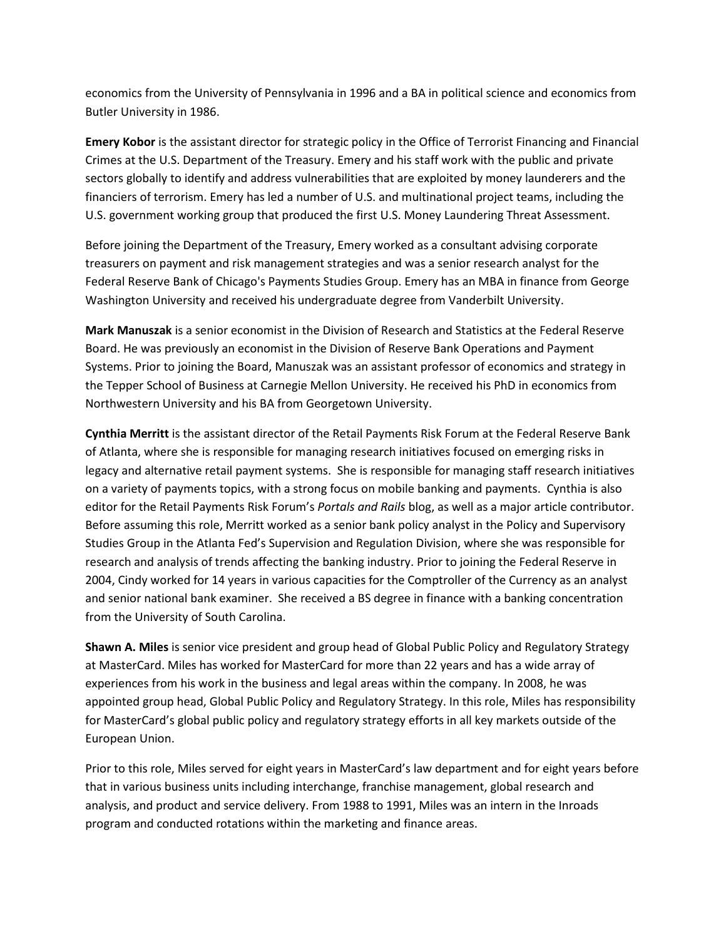economics from the University of Pennsylvania in 1996 and a BA in political science and economics from Butler University in 1986.

**Emery Kobor** is the assistant director for strategic policy in the Office of Terrorist Financing and Financial Crimes at the U.S. Department of the Treasury. Emery and his staff work with the public and private sectors globally to identify and address vulnerabilities that are exploited by money launderers and the financiers of terrorism. Emery has led a number of U.S. and multinational project teams, including the U.S. government working group that produced the first U.S. Money Laundering Threat Assessment.

Before joining the Department of the Treasury, Emery worked as a consultant advising corporate treasurers on payment and risk management strategies and was a senior research analyst for the Federal Reserve Bank of Chicago's Payments Studies Group. Emery has an MBA in finance from George Washington University and received his undergraduate degree from Vanderbilt University.

**Mark Manuszak** is a senior economist in the Division of Research and Statistics at the Federal Reserve Board. He was previously an economist in the Division of Reserve Bank Operations and Payment Systems. Prior to joining the Board, Manuszak was an assistant professor of economics and strategy in the Tepper School of Business at Carnegie Mellon University. He received his PhD in economics from Northwestern University and his BA from Georgetown University.

**Cynthia Merritt** is the assistant director of the Retail Payments Risk Forum at the Federal Reserve Bank of Atlanta, where she is responsible for managing research initiatives focused on emerging risks in legacy and alternative retail payment systems. She is responsible for managing staff research initiatives on a variety of payments topics, with a strong focus on mobile banking and payments. Cynthia is also editor for the Retail Payments Risk Forum's *Portals and Rails* blog, as well as a major article contributor. Before assuming this role, Merritt worked as a senior bank policy analyst in the Policy and Supervisory Studies Group in the Atlanta Fed's Supervision and Regulation Division, where she was responsible for research and analysis of trends affecting the banking industry. Prior to joining the Federal Reserve in 2004, Cindy worked for 14 years in various capacities for the Comptroller of the Currency as an analyst and senior national bank examiner. She received a BS degree in finance with a banking concentration from the University of South Carolina.

**Shawn A. Miles** is senior vice president and group head of Global Public Policy and Regulatory Strategy at MasterCard. Miles has worked for MasterCard for more than 22 years and has a wide array of experiences from his work in the business and legal areas within the company. In 2008, he was appointed group head, Global Public Policy and Regulatory Strategy. In this role, Miles has responsibility for MasterCard's global public policy and regulatory strategy efforts in all key markets outside of the European Union.

Prior to this role, Miles served for eight years in MasterCard's law department and for eight years before that in various business units including interchange, franchise management, global research and analysis, and product and service delivery. From 1988 to 1991, Miles was an intern in the Inroads program and conducted rotations within the marketing and finance areas.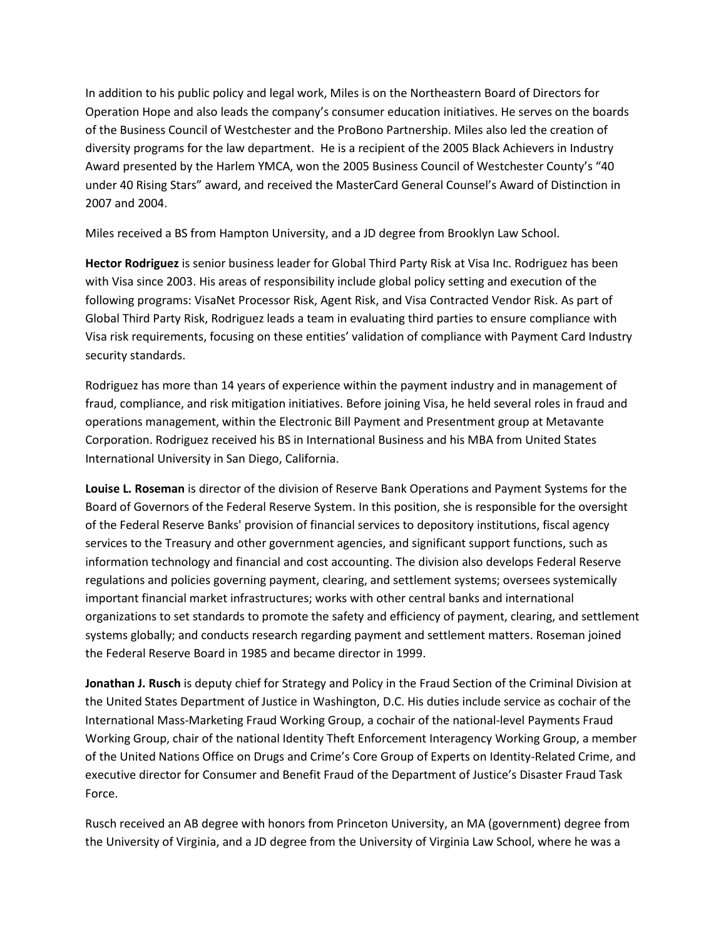In addition to his public policy and legal work, Miles is on the Northeastern Board of Directors for Operation Hope and also leads the company's consumer education initiatives. He serves on the boards of the Business Council of Westchester and the ProBono Partnership. Miles also led the creation of diversity programs for the law department. He is a recipient of the 2005 Black Achievers in Industry Award presented by the Harlem YMCA, won the 2005 Business Council of Westchester County's "40 under 40 Rising Stars" award, and received the MasterCard General Counsel's Award of Distinction in 2007 and 2004.

Miles received a BS from Hampton University, and a JD degree from Brooklyn Law School.

**Hector Rodriguez** is senior business leader for Global Third Party Risk at Visa Inc. Rodriguez has been with Visa since 2003. His areas of responsibility include global policy setting and execution of the following programs: VisaNet Processor Risk, Agent Risk, and Visa Contracted Vendor Risk. As part of Global Third Party Risk, Rodriguez leads a team in evaluating third parties to ensure compliance with Visa risk requirements, focusing on these entities' validation of compliance with Payment Card Industry security standards.

Rodriguez has more than 14 years of experience within the payment industry and in management of fraud, compliance, and risk mitigation initiatives. Before joining Visa, he held several roles in fraud and operations management, within the Electronic Bill Payment and Presentment group at Metavante Corporation. Rodriguez received his BS in International Business and his MBA from United States International University in San Diego, California.

**Louise L. Roseman** is director of the division of Reserve Bank Operations and Payment Systems for the Board of Governors of the Federal Reserve System. In this position, she is responsible for the oversight of the Federal Reserve Banks' provision of financial services to depository institutions, fiscal agency services to the Treasury and other government agencies, and significant support functions, such as information technology and financial and cost accounting. The division also develops Federal Reserve regulations and policies governing payment, clearing, and settlement systems; oversees systemically important financial market infrastructures; works with other central banks and international organizations to set standards to promote the safety and efficiency of payment, clearing, and settlement systems globally; and conducts research regarding payment and settlement matters. Roseman joined the Federal Reserve Board in 1985 and became director in 1999.

**Jonathan J. Rusch** is deputy chief for Strategy and Policy in the Fraud Section of the Criminal Division at the United States Department of Justice in Washington, D.C. His duties include service as cochair of the International Mass-Marketing Fraud Working Group, a cochair of the national-level Payments Fraud Working Group, chair of the national Identity Theft Enforcement Interagency Working Group, a member of the United Nations Office on Drugs and Crime's Core Group of Experts on Identity-Related Crime, and executive director for Consumer and Benefit Fraud of the Department of Justice's Disaster Fraud Task Force.

Rusch received an AB degree with honors from Princeton University, an MA (government) degree from the University of Virginia, and a JD degree from the University of Virginia Law School, where he was a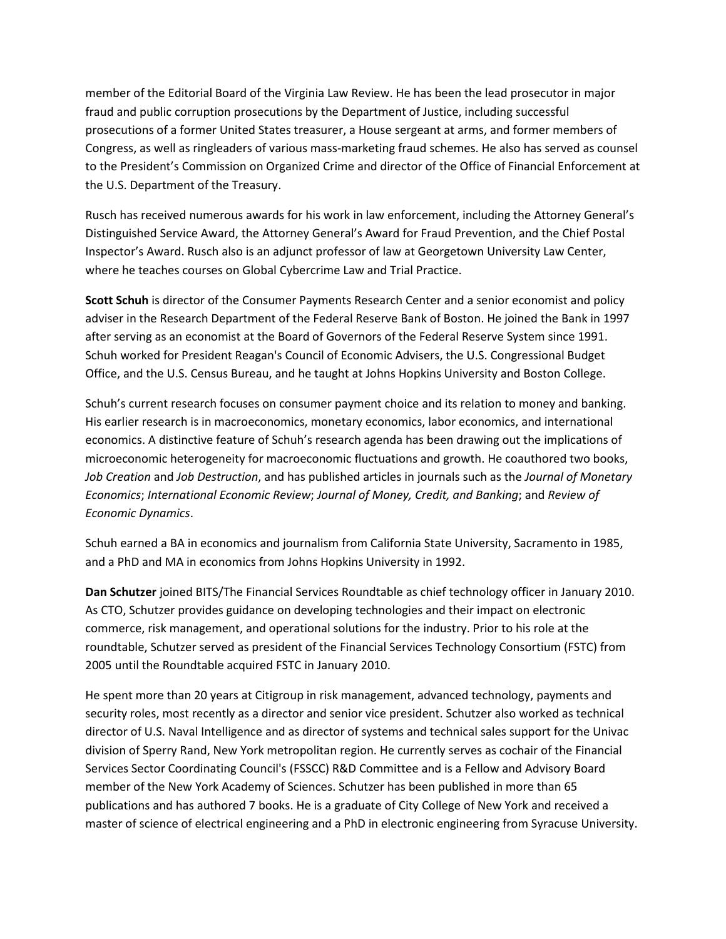member of the Editorial Board of the Virginia Law Review. He has been the lead prosecutor in major fraud and public corruption prosecutions by the Department of Justice, including successful prosecutions of a former United States treasurer, a House sergeant at arms, and former members of Congress, as well as ringleaders of various mass-marketing fraud schemes. He also has served as counsel to the President's Commission on Organized Crime and director of the Office of Financial Enforcement at the U.S. Department of the Treasury.

Rusch has received numerous awards for his work in law enforcement, including the Attorney General's Distinguished Service Award, the Attorney General's Award for Fraud Prevention, and the Chief Postal Inspector's Award. Rusch also is an adjunct professor of law at Georgetown University Law Center, where he teaches courses on Global Cybercrime Law and Trial Practice.

**Scott Schuh** is director of the Consumer Payments Research Center and a senior economist and policy adviser in the Research Department of the Federal Reserve Bank of Boston. He joined the Bank in 1997 after serving as an economist at the Board of Governors of the Federal Reserve System since 1991. Schuh worked for President Reagan's Council of Economic Advisers, the U.S. Congressional Budget Office, and the U.S. Census Bureau, and he taught at Johns Hopkins University and Boston College.

Schuh's current research focuses on consumer payment choice and its relation to money and banking. His earlier research is in macroeconomics, monetary economics, labor economics, and international economics. A distinctive feature of Schuh's research agenda has been drawing out the implications of microeconomic heterogeneity for macroeconomic fluctuations and growth. He coauthored two books, *Job Creation* and *Job Destruction*, and has published articles in journals such as the *Journal of Monetary Economics*; *International Economic Review*; *Journal of Money, Credit, and Banking*; and *Review of Economic Dynamics*.

Schuh earned a BA in economics and journalism from California State University, Sacramento in 1985, and a PhD and MA in economics from Johns Hopkins University in 1992.

**Dan Schutzer** joined BITS/The Financial Services Roundtable as chief technology officer in January 2010. As CTO, Schutzer provides guidance on developing technologies and their impact on electronic commerce, risk management, and operational solutions for the industry. Prior to his role at the roundtable, Schutzer served as president of the Financial Services Technology Consortium (FSTC) from 2005 until the Roundtable acquired FSTC in January 2010.

He spent more than 20 years at Citigroup in risk management, advanced technology, payments and security roles, most recently as a director and senior vice president. Schutzer also worked as technical director of U.S. Naval Intelligence and as director of systems and technical sales support for the Univac division of Sperry Rand, New York metropolitan region. He currently serves as cochair of the Financial Services Sector Coordinating Council's (FSSCC) R&D Committee and is a Fellow and Advisory Board member of the New York Academy of Sciences. Schutzer has been published in more than 65 publications and has authored 7 books. He is a graduate of City College of New York and received a master of science of electrical engineering and a PhD in electronic engineering from Syracuse University.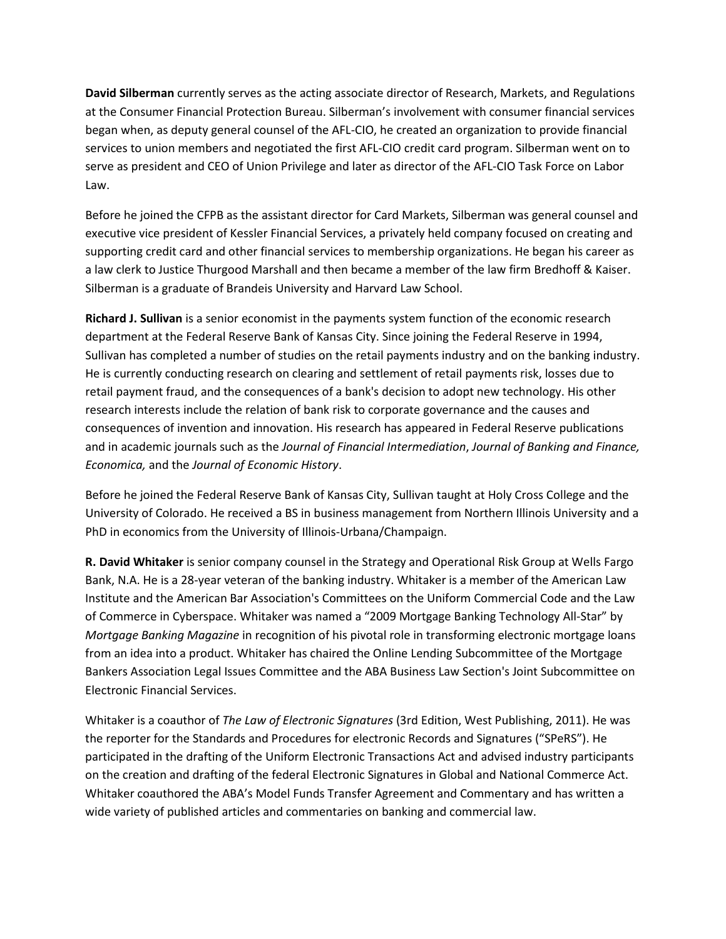**David Silberman** currently serves as the acting associate director of Research, Markets, and Regulations at the Consumer Financial Protection Bureau. Silberman's involvement with consumer financial services began when, as deputy general counsel of the AFL-CIO, he created an organization to provide financial services to union members and negotiated the first AFL-CIO credit card program. Silberman went on to serve as president and CEO of Union Privilege and later as director of the AFL-CIO Task Force on Labor Law.

Before he joined the CFPB as the assistant director for Card Markets, Silberman was general counsel and executive vice president of Kessler Financial Services, a privately held company focused on creating and supporting credit card and other financial services to membership organizations. He began his career as a law clerk to Justice Thurgood Marshall and then became a member of the law firm Bredhoff & Kaiser. Silberman is a graduate of Brandeis University and Harvard Law School.

**Richard J. Sullivan** is a senior economist in the payments system function of the economic research department at the Federal Reserve Bank of Kansas City. Since joining the Federal Reserve in 1994, Sullivan has completed a number of studies on the retail payments industry and on the banking industry. He is currently conducting research on clearing and settlement of retail payments risk, losses due to retail payment fraud, and the consequences of a bank's decision to adopt new technology. His other research interests include the relation of bank risk to corporate governance and the causes and consequences of invention and innovation. His research has appeared in Federal Reserve publications and in academic journals such as the *Journal of Financial Intermediation*, *Journal of Banking and Finance, Economica,* and the *Journal of Economic History*.

Before he joined the Federal Reserve Bank of Kansas City, Sullivan taught at Holy Cross College and the University of Colorado. He received a BS in business management from Northern Illinois University and a PhD in economics from the University of Illinois-Urbana/Champaign.

**R. David Whitaker** is senior company counsel in the Strategy and Operational Risk Group at Wells Fargo Bank, N.A. He is a 28-year veteran of the banking industry. Whitaker is a member of the American Law Institute and the American Bar Association's Committees on the Uniform Commercial Code and the Law of Commerce in Cyberspace. Whitaker was named a "2009 Mortgage Banking Technology All-Star" by *Mortgage Banking Magazine* in recognition of his pivotal role in transforming electronic mortgage loans from an idea into a product. Whitaker has chaired the Online Lending Subcommittee of the Mortgage Bankers Association Legal Issues Committee and the ABA Business Law Section's Joint Subcommittee on Electronic Financial Services.

Whitaker is a coauthor of *The Law of Electronic Signatures* (3rd Edition, West Publishing, 2011). He was the reporter for the Standards and Procedures for electronic Records and Signatures ("SPeRS"). He participated in the drafting of the Uniform Electronic Transactions Act and advised industry participants on the creation and drafting of the federal Electronic Signatures in Global and National Commerce Act. Whitaker coauthored the ABA's Model Funds Transfer Agreement and Commentary and has written a wide variety of published articles and commentaries on banking and commercial law.